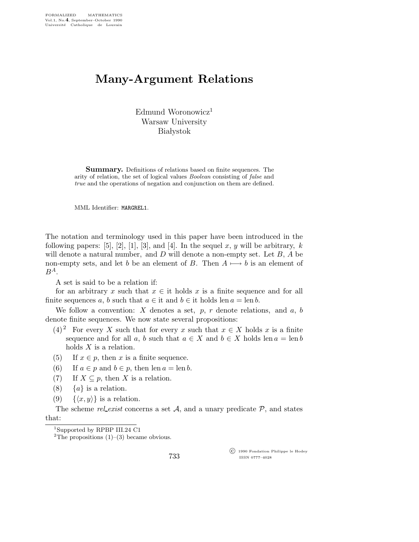## Many-Argument Relations

Edmund Woronowicz<sup>1</sup> Warsaw University **Białystok** 

Summary. Definitions of relations based on finite sequences. The arity of relation, the set of logical values Boolean consisting of false and true and the operations of negation and conjunction on them are defined.

MML Identifier: MARGREL1.

The notation and terminology used in this paper have been introduced in the following papers: [5], [2], [1], [3], and [4]. In the sequel x, y will be arbitrary, k will denote a natural number, and  $D$  will denote a non-empty set. Let  $B$ ,  $A$  be non-empty sets, and let b be an element of B. Then  $A \mapsto b$  is an element of  $B^A$ .

A set is said to be a relation if:

for an arbitrary x such that  $x \in \mathfrak{t}$  holds x is a finite sequence and for all finite sequences a, b such that  $a \in \text{it}$  and  $b \in \text{it}$  holds len  $a = \text{len } b$ .

We follow a convention: X denotes a set,  $p, r$  denote relations, and  $a, b$ denote finite sequences. We now state several propositions:

- (4)<sup>2</sup> For every X such that for every x such that  $x \in X$  holds x is a finite sequence and for all a, b such that  $a \in X$  and  $b \in X$  holds len  $a = \text{len } b$ holds  $X$  is a relation.
- (5) If  $x \in p$ , then x is a finite sequence.
- (6) If  $a \in p$  and  $b \in p$ , then len  $a = \text{len } b$ .
- (7) If  $X \subseteq p$ , then X is a relation.
- (8)  $\{a\}$  is a relation.
- (9)  $\{\langle x,y\rangle\}$  is a relation.

The scheme rel exist concerns a set  $A$ , and a unary predicate  $P$ , and states that:

733

 c 1990 Fondation Philippe le Hodey ISSN 0777–4028

<sup>1</sup>Supported by RPBP III.24 C1

<sup>&</sup>lt;sup>2</sup>The propositions  $(1)$ – $(3)$  became obvious.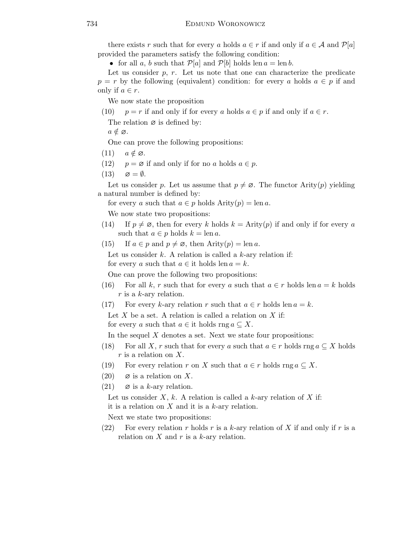there exists r such that for every a holds  $a \in r$  if and only if  $a \in A$  and  $\mathcal{P}[a]$ provided the parameters satisfy the following condition:

• for all a, b such that  $\mathcal{P}[a]$  and  $\mathcal{P}[b]$  holds len  $a = \text{len } b$ .

Let us consider  $p, r$ . Let us note that one can characterize the predicate  $p = r$  by the following (equivalent) condition: for every a holds  $a \in p$  if and only if  $a \in r$ .

We now state the proposition

(10)  $p = r$  if and only if for every a holds  $a \in p$  if and only if  $a \in r$ .

The relation  $\varnothing$  is defined by:

 $a \notin \varnothing$ .

One can prove the following propositions:

- $(11)$   $a \notin \varnothing$ .
- (12)  $p = \emptyset$  if and only if for no a holds  $a \in p$ .
- $(13) \quad \varnothing = \emptyset.$

Let us consider p. Let us assume that  $p \neq \emptyset$ . The functor Arity(p) yielding a natural number is defined by:

for every a such that  $a \in p$  holds  $\text{Arity}(p) = \text{len } a$ .

We now state two propositions:

- (14) If  $p \neq \emptyset$ , then for every k holds  $k =$  Arity(p) if and only if for every a such that  $a \in p$  holds  $k = \text{len } a$ .
- (15) If  $a \in p$  and  $p \neq \emptyset$ , then Arity $(p) = \text{len } a$ .

Let us consider  $k$ . A relation is called a  $k$ -ary relation if:

for every a such that  $a \in \text{it holds }$  len  $a = k$ .

One can prove the following two propositions:

- (16) For all k, r such that for every a such that  $a \in r$  holds len  $a = k$  holds r is a k-ary relation.
- (17) For every k-ary relation r such that  $a \in r$  holds len  $a = k$ .

Let  $X$  be a set. A relation is called a relation on  $X$  if:

for every a such that  $a \in \text{it holds rng } a \subseteq X$ .

In the sequel  $X$  denotes a set. Next we state four propositions:

- (18) For all X, r such that for every a such that  $a \in r$  holds rng  $a \subseteq X$  holds r is a relation on X.
- (19) For every relation r on X such that  $a \in r$  holds rng  $a \subseteq X$ .
- (20)  $\varnothing$  is a relation on X.
- (21)  $\emptyset$  is a k-ary relation.

Let us consider  $X$ ,  $k$ . A relation is called a  $k$ -ary relation of  $X$  if: it is a relation on  $X$  and it is a  $k$ -ary relation.

Next we state two propositions:

(22) For every relation r holds r is a k-ary relation of X if and only if r is a relation on  $X$  and  $r$  is a  $k$ -ary relation.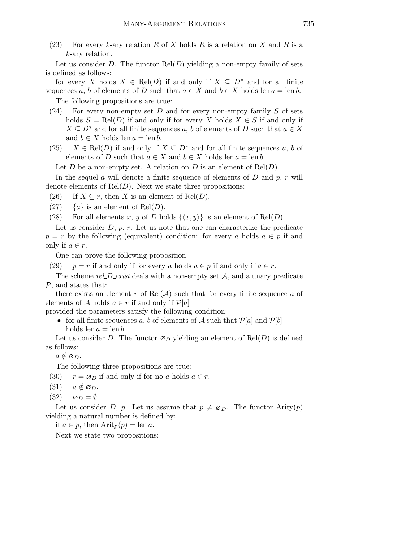(23) For every k-ary relation R of X holds R is a relation on X and R is a k-ary relation.

Let us consider D. The functor  $Rel(D)$  yielding a non-empty family of sets is defined as follows:

for every X holds  $X \in \text{Rel}(D)$  if and only if  $X \subseteq D^*$  and for all finite sequences a, b of elements of D such that  $a \in X$  and  $b \in X$  holds len  $a = \text{len } b$ .

The following propositions are true:

- $(24)$  For every non-empty set D and for every non-empty family S of sets holds  $S = \text{Rel}(D)$  if and only if for every X holds  $X \in S$  if and only if  $X \subseteq D^*$  and for all finite sequences a, b of elements of D such that  $a \in X$ and  $b \in X$  holds len  $a = \text{len } b$ .
- (25)  $X \in \text{Rel}(D)$  if and only if  $X \subseteq D^*$  and for all finite sequences a, b of elements of D such that  $a \in X$  and  $b \in X$  holds len  $a = \text{len } b$ .

Let D be a non-empty set. A relation on D is an element of  $Rel(D)$ .

In the sequel a will denote a finite sequence of elements of  $D$  and  $p, r$  will denote elements of  $Rel(D)$ . Next we state three propositions:

- (26) If  $X \subseteq r$ , then X is an element of Rel(D).
- (27) { $a$ } is an element of Rel(D).
- (28) For all elements x, y of D holds  $\{\langle x,y\rangle\}$  is an element of Rel(D).

Let us consider  $D, p, r$ . Let us note that one can characterize the predicate  $p = r$  by the following (equivalent) condition: for every a holds  $a \in p$  if and only if  $a \in r$ .

One can prove the following proposition

(29) p = r if and only if for every a holds  $a \in p$  if and only if  $a \in r$ .

The scheme rel  $D$ -exist deals with a non-empty set  $A$ , and a unary predicate  $P$ , and states that:

there exists an element r of Rel( $A$ ) such that for every finite sequence a of elements of A holds  $a \in r$  if and only if  $\mathcal{P}[a]$ 

provided the parameters satisfy the following condition:

• for all finite sequences a, b of elements of A such that  $\mathcal{P}[a]$  and  $\mathcal{P}[b]$ holds len  $a = \text{len } b$ .

Let us consider D. The functor  $\varnothing_D$  yielding an element of Rel(D) is defined as follows:

 $a \notin \mathfrak{D}_D$ .

The following three propositions are true:

(30)  $r = \varnothing_D$  if and only if for no a holds  $a \in r$ .

$$
(31) \quad a \notin \mathfrak{O}_D.
$$

$$
(32) \quad \varnothing_D = \emptyset.
$$

Let us consider D, p. Let us assume that  $p \neq \mathfrak{D}_D$ . The functor Arity(p) yielding a natural number is defined by:

if  $a \in p$ , then  $\text{Arity}(p) = \text{len } a$ .

Next we state two propositions: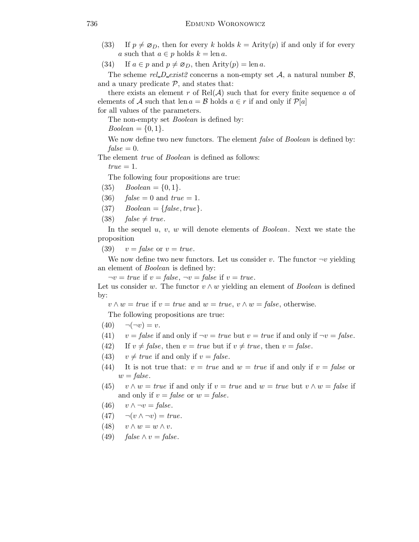(33) If  $p \neq \mathfrak{D}_D$ , then for every k holds  $k =$  Arity(p) if and only if for every a such that  $a \in p$  holds  $k = \text{len } a$ .

(34) If  $a \in p$  and  $p \neq \mathfrak{D}_D$ , then Arity $(p) = \text{len } a$ .

The scheme rel D exist<sub>2</sub> concerns a non-empty set  $A$ , a natural number  $B$ , and a unary predicate  $P$ , and states that:

there exists an element r of Rel( $A$ ) such that for every finite sequence a of elements of A such that len  $a = \mathcal{B}$  holds  $a \in r$  if and only if  $\mathcal{P}[a]$ for all values of the parameters.

The non-empty set *Boolean* is defined by:

 $Boolean = \{0, 1\}.$ 

We now define two new functors. The element *false* of *Boolean* is defined by:  $false = 0$ .

The element *true* of *Boolean* is defined as follows:

 $true = 1$ .

The following four propositions are true:

- (35)  $Boolean = \{0, 1\}.$
- (36)  $false = 0$  and  $true = 1$ .
- (37) Boolean =  $\{false, true\}$ .
- $(38)$  false  $\neq$  true.

In the sequel  $u, v, w$  will denote elements of *Boolean*. Next we state the proposition

(39)  $v = false$  or  $v = true$ .

We now define two new functors. Let us consider v. The functor  $\neg v$  yielding an element of Boolean is defined by:

 $\neg v = true$  if  $v = false$ ,  $\neg v = false$  if  $v = true$ .

Let us consider w. The functor  $v \wedge w$  yielding an element of *Boolean* is defined by:

 $v \wedge w = true$  if  $v = true$  and  $w = true$ ,  $v \wedge w = false$ , otherwise.

The following propositions are true:

- $(40) \quad \neg(\neg v) = v.$
- (41)  $v = false$  if and only if  $\neg v = true$  but  $v = true$  if and only if  $\neg v = false$ .
- (42) If  $v \neq false$ , then  $v = true$  but if  $v \neq true$ , then  $v = false$ .
- (43)  $v \neq true$  if and only if  $v = false$ .
- (44) It is not true that:  $v = true$  and  $w = true$  if and only if  $v = false$  or  $w = false.$
- (45)  $v \wedge w = true$  if and only if  $v = true$  and  $w = true$  but  $v \wedge w = false$  if and only if  $v = false$  or  $w = false$ .
- (46)  $v \wedge \neg v = \text{false}.$
- $(47) \quad \neg(v \wedge \neg v) = true.$
- (48)  $v \wedge w = w \wedge v$ .
- (49)  $false \wedge v = false$ .